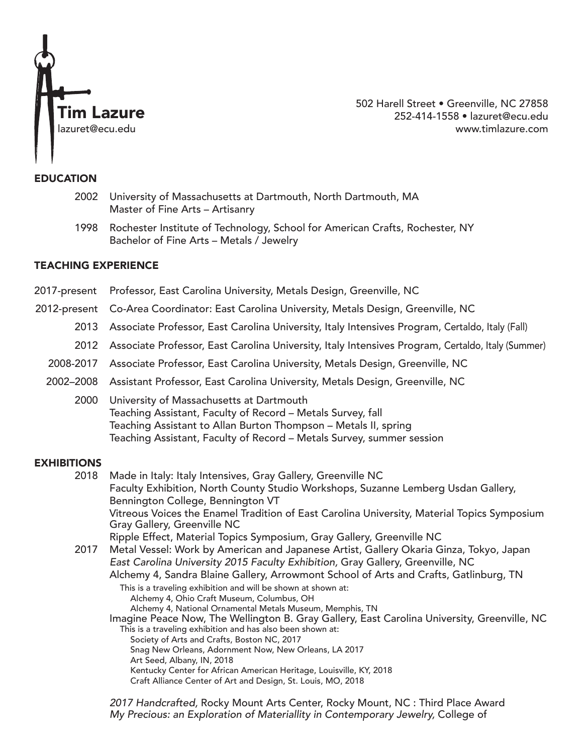

502 Harell Street • Greenville, NC 27858 252-414-1558 • lazuret@ecu.edu www.timlazure.com

### EDUCATION

- 2002 University of Massachusetts at Dartmouth, North Dartmouth, MA Master of Fine Arts – Artisanry
- 1998 Rochester Institute of Technology, School for American Crafts, Rochester, NY Bachelor of Fine Arts – Metals / Jewelry

# TEACHING EXPERIENCE

- 2017-present Professor, East Carolina University, Metals Design, Greenville, NC
- 2012-present Co-Area Coordinator: East Carolina University, Metals Design, Greenville, NC
	- 2013 Associate Professor, East Carolina University, Italy Intensives Program, Certaldo, Italy (Fall)
	- 2012 Associate Professor, East Carolina University, Italy Intensives Program, Certaldo, Italy (Summer)
	- 2008-2017 Associate Professor, East Carolina University, Metals Design, Greenville, NC
	- 2002–2008 Assistant Professor, East Carolina University, Metals Design, Greenville, NC
		- 2000 University of Massachusetts at Dartmouth Teaching Assistant, Faculty of Record – Metals Survey, fall Teaching Assistant to Allan Burton Thompson – Metals II, spring Teaching Assistant, Faculty of Record – Metals Survey, summer session

# **EXHIBITIONS**

- 2018 Made in Italy: Italy Intensives, Gray Gallery, Greenville NC Faculty Exhibition, North County Studio Workshops, Suzanne Lemberg Usdan Gallery, Bennington College, Bennington VT Vitreous Voices the Enamel Tradition of East Carolina University, Material Topics Symposium Gray Gallery, Greenville NC Ripple Effect, Material Topics Symposium, Gray Gallery, Greenville NC
- 2017 Metal Vessel: Work by American and Japanese Artist, Gallery Okaria Ginza, Tokyo, Japan *East Carolina University 2015 Faculty Exhibition,* Gray Gallery, Greenville, NC Alchemy 4, Sandra Blaine Gallery, Arrowmont School of Arts and Crafts, Gatlinburg, TN
	- This is a traveling exhibition and will be shown at shown at: Alchemy 4, Ohio Craft Museum, Columbus, OH Alchemy 4, National Ornamental Metals Museum, Memphis, TN Imagine Peace Now, The Wellington B. Gray Gallery, East Carolina University, Greenville, NC This is a traveling exhibition and has also been shown at: Society of Arts and Crafts, Boston NC, 2017 Snag New Orleans, Adornment Now, New Orleans, LA 2017 Art Seed, Albany, IN, 2018 Kentucky Center for African American Heritage, Louisville, KY, 2018 Craft Alliance Center of Art and Design, St. Louis, MO, 2018

 *2017 Handcrafted,* Rocky Mount Arts Center, Rocky Mount, NC : Third Place Award *My Precious: an Exploration of Materiallity in Contemporary Jewelry,* College of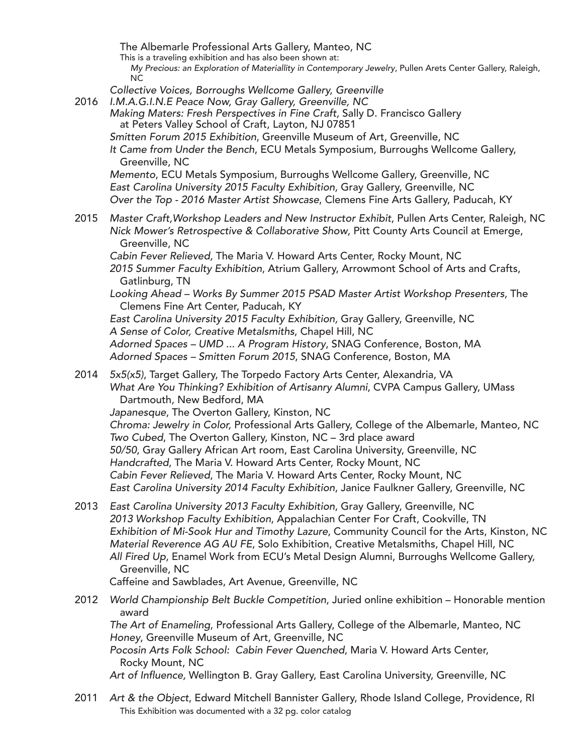The Albemarle Professional Arts Gallery, Manteo, NCThis is a traveling exhibition and has also been shown at:

 *My Precious: an Exploration of Materiallity in Contemporary Jewelry*, Pullen Arets Center Gallery, Raleigh, NC

- *Collective Voices, Borroughs Wellcome Gallery, Greenville*
- 

<sup>2016</sup> *I.M.A.G.I.N.E Peace Now, Gray Gallery, Greenville, NC Making Maters: Fresh Perspectives in Fine Craft,* Sally D. Francisco Gallery at Peters Valley School of Craft, Layton, NJ 07851

*Smitten Forum 2015 Exhibition*, Greenville Museum of Art, Greenville, NC

 *It Came from Under the Bench*, ECU Metals Symposium, Burroughs Wellcome Gallery, Greenville, NC

 *Memento*, ECU Metals Symposium, Burroughs Wellcome Gallery, Greenville, NC *East Carolina University 2015 Faculty Exhibition,* Gray Gallery, Greenville, NC *Over the Top - 2016 Master Artist Showcase*, Clemens Fine Arts Gallery, Paducah, KY

2015 *Master Craft,Workshop Leaders and New Instructor Exhibit*, Pullen Arts Center, Raleigh, NC *Nick Mower's Retrospective & Collaborative Show*, Pitt County Arts Council at Emerge, Greenville, NC

 *Cabin Fever Relieved,* The Maria V. Howard Arts Center, Rocky Mount, NC *2015 Summer Faculty Exhibition*, Atrium Gallery, Arrowmont School of Arts and Crafts, Gatlinburg, TN

 *Looking Ahead – Works By Summer 2015 PSAD Master Artist Workshop Presenters*, The Clemens Fine Art Center, Paducah, KY

 *East Carolina University 2015 Faculty Exhibition,* Gray Gallery, Greenville, NC *A Sense of Color, Creative Metalsmiths*, Chapel Hill, NC

 *Adorned Spaces – UMD ... A Program History*, SNAG Conference, Boston, MA *Adorned Spaces – Smitten Forum 2015*, SNAG Conference, Boston, MA

2014 *5x5(x5)*, Target Gallery, The Torpedo Factory Arts Center, Alexandria, VA *What Are You Thinking? Exhibition of Artisanry Alumni*, CVPA Campus Gallery, UMass Dartmouth, New Bedford, MA

*Japanesque*, The Overton Gallery, Kinston, NC

 *Chroma: Jewelry in Color,* Professional Arts Gallery, College of the Albemarle, Manteo, NC *Two Cubed*, The Overton Gallery, Kinston, NC – 3rd place award *50/50*, Gray Gallery African Art room, East Carolina University, Greenville, NC *Handcrafted*, The Maria V. Howard Arts Center, Rocky Mount, NC *Cabin Fever Relieved*, The Maria V. Howard Arts Center, Rocky Mount, NC *East Carolina University 2014 Faculty Exhibition*, Janice Faulkner Gallery, Greenville, NC

2013 *East Carolina University 2013 Faculty Exhibition*, Gray Gallery, Greenville, NC *2013 Workshop Faculty Exhibition*, Appalachian Center For Craft, Cookville, TN *Exhibition of Mi-Sook Hur and Timothy Lazure*, Community Council for the Arts, Kinston, NC *Material Reverence AG AU FE*, Solo Exhibition, Creative Metalsmiths, Chapel Hill, NC *All Fired Up*, Enamel Work from ECU's Metal Design Alumni, Burroughs Wellcome Gallery, Greenville, NC

Caffeine and Sawblades, Art Avenue, Greenville, NC

- 2012 *World Championship Belt Buckle Competition*, Juried online exhibition Honorable mention award *The Art of Enameling*, Professional Arts Gallery, College of the Albemarle, Manteo, NC *Honey*, Greenville Museum of Art, Greenville, NC *Pocosin Arts Folk School: Cabin Fever Quenched*, Maria V. Howard Arts Center, Rocky Mount, NC Art of Influence, Wellington B. Gray Gallery, East Carolina University, Greenville, NC
- 2011 *Art & the Object*, Edward Mitchell Bannister Gallery, Rhode Island College, Providence, RI This Exhibition was documented with a 32 pg. color catalog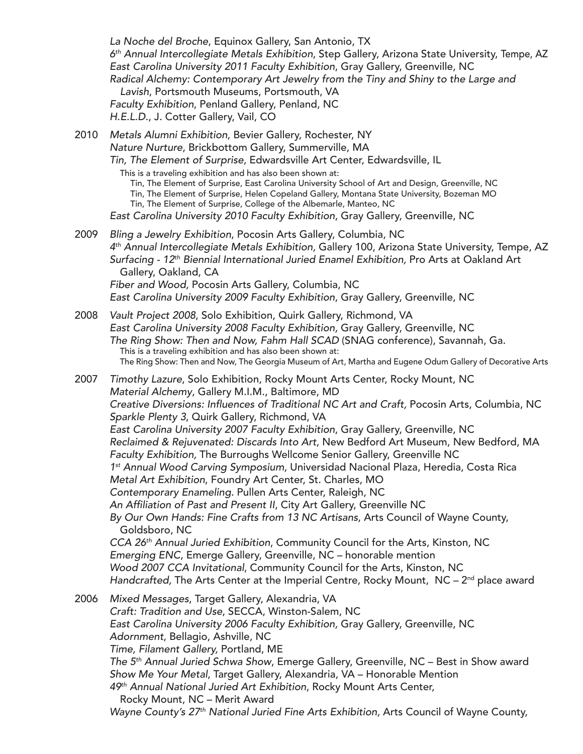*La Noche del Broche*, Equinox Gallery, San Antonio, TX *6th Annual Intercollegiate Metals Exhibition*, Step Gallery, Arizona State University, Tempe, AZ *East Carolina University 2011 Faculty Exhibition*, Gray Gallery, Greenville, NC *Radical Alchemy: Contemporary Art Jewelry from the Tiny and Shiny to the Large and Lavish*, Portsmouth Museums, Portsmouth, VA *Faculty Exhibition*, Penland Gallery, Penland, NC *H.E.L.D*., J. Cotter Gallery, Vail, CO 2010 *Metals Alumni Exhibition*, Bevier Gallery, Rochester, NY *Nature Nurture*, Brickbottom Gallery, Summerville, MA *Tin, The Element of Surprise,* Edwardsville Art Center, Edwardsville, IL

This is a traveling exhibition and has also been shown at:

Tin, The Element of Surprise, East Carolina University School of Art and Design, Greenville, NC

Tin, The Element of Surprise, Helen Copeland Gallery, Montana State University, Bozeman MO

Tin, The Element of Surprise, College of the Albemarle, Manteo, NC

*East Carolina University 2010 Faculty Exhibition*, Gray Gallery, Greenville, NC

2009 *Bling a Jewelry Exhibition*, Pocosin Arts Gallery, Columbia, NC *4th Annual Intercollegiate Metals Exhibition,* Gallery 100, Arizona State University, Tempe, AZ *Surfacing - 12th Biennial International Juried Enamel Exhibition,* Pro Arts at Oakland Art Gallery, Oakland, CA *Fiber and Wood,* Pocosin Arts Gallery, Columbia, NC *East Carolina University 2009 Faculty Exhibition*, Gray Gallery, Greenville, NC

2008 *Vault Project 2008*, Solo Exhibition, Quirk Gallery, Richmond, VA *East Carolina University 2008 Faculty Exhibition,* Gray Gallery, Greenville, NC *The Ring Show: Then and Now, Fahm Hall SCAD* (SNAG conference), Savannah, Ga. This is a traveling exhibition and has also been shown at: The Ring Show: Then and Now, The Georgia Museum of Art, Martha and Eugene Odum Gallery of Decorative Arts

2007 *Timothy Lazure*, Solo Exhibition, Rocky Mount Arts Center, Rocky Mount, NC *Material Alchemy*, Gallery M.I.M., Baltimore, MD Creative Diversions: Influences of Traditional NC Art and Craft, Pocosin Arts, Columbia, NC *Sparkle Plenty 3*, Quirk Gallery, Richmond, VA *East Carolina University 2007 Faculty Exhibition*, Gray Gallery, Greenville, NC *Reclaimed & Rejuvenated: Discards Into Art*, New Bedford Art Museum, New Bedford, MA *Faculty Exhibition,* The Burroughs Wellcome Senior Gallery, Greenville NC *1st Annual Wood Carving Symposium*, Universidad Nacional Plaza, Heredia, Costa Rica *Metal Art Exhibition*, Foundry Art Center, St. Charles, MO *Contemporary Enameling.* Pullen Arts Center, Raleigh, NC An Affiliation of Past and Present II, City Art Gallery, Greenville NC *By Our Own Hands: Fine Crafts from 13 NC Artisans*, Arts Council of Wayne County, Goldsboro, NC *CCA 26th Annual Juried Exhibition*, Community Council for the Arts, Kinston, NC *Emerging ENC*, Emerge Gallery, Greenville, NC – honorable mention *Wood 2007 CCA Invitational*, Community Council for the Arts, Kinston, NC *Handcrafted,* The Arts Center at the Imperial Centre, Rocky Mount, NC - 2<sup>nd</sup> place award 2006 *Mixed Messages*, Target Gallery, Alexandria, VA *Craft: Tradition and Use*, SECCA, Winston-Salem, NC *East Carolina University 2006 Faculty Exhibition,* Gray Gallery, Greenville, NC *Adornment*, Bellagio, Ashville, NC *Time, Filament Gallery,* Portland, ME *The 5th Annual Juried Schwa Show*, Emerge Gallery, Greenville, NC – Best in Show award *Show Me Your Metal*, Target Gallery, Alexandria, VA – Honorable Mention *49th Annual National Juried Art Exhibition*, Rocky Mount Arts Center,

Rocky Mount, NC – Merit Award

*Wayne County's 27th National Juried Fine Arts Exhibition,* Arts Council of Wayne County,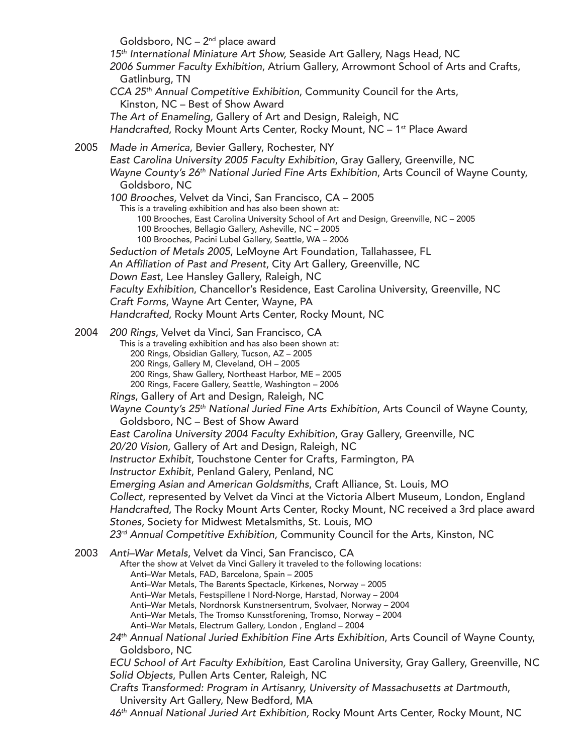Goldsboro, NC – 2nd place award *15th International Miniature Art Show,* Seaside Art Gallery, Nags Head, NC *2006 Summer Faculty Exhibition*, Atrium Gallery, Arrowmont School of Arts and Crafts, Gatlinburg, TN *CCA 25th Annual Competitive Exhibition*, Community Council for the Arts, Kinston, NC – Best of Show Award *The Art of Enameling,* Gallery of Art and Design, Raleigh, NC *Handcrafted*, Rocky Mount Arts Center, Rocky Mount, NC – 1<sup>st</sup> Place Award 2005 *Made in America,* Bevier Gallery, Rochester, NY *East Carolina University 2005 Faculty Exhibition*, Gray Gallery, Greenville, NC *Wayne County's 26th National Juried Fine Arts Exhibition*, Arts Council of Wayne County, Goldsboro, NC *100 Brooches,* Velvet da Vinci, San Francisco, CA – 2005 This is a traveling exhibition and has also been shown at: 100 Brooches, East Carolina University School of Art and Design, Greenville, NC – 2005 100 Brooches, Bellagio Gallery, Asheville, NC – 2005 100 Brooches, Pacini Lubel Gallery, Seattle, WA – 2006 *Seduction of Metals 2005*, LeMoyne Art Foundation, Tallahassee, FL An Affiliation of Past and Present, City Art Gallery, Greenville, NC *Down East*, Lee Hansley Gallery, Raleigh, NC *Faculty Exhibition*, Chancellor's Residence, East Carolina University, Greenville, NC *Craft Forms*, Wayne Art Center, Wayne, PA *Handcrafted*, Rocky Mount Arts Center, Rocky Mount, NC <sup>2004</sup> *200 Rings*, Velvet da Vinci, San Francisco, CA This is a traveling exhibition and has also been shown at: 200 Rings, Obsidian Gallery, Tucson, AZ – 2005 200 Rings, Gallery M, Cleveland, OH – 2005 200 Rings, Shaw Gallery, Northeast Harbor, ME – 2005 200 Rings, Facere Gallery, Seattle, Washington – 2006 *Rings*, Gallery of Art and Design, Raleigh, NC *Wayne County's 25th National Juried Fine Arts Exhibition*, Arts Council of Wayne County, Goldsboro, NC – Best of Show Award *East Carolina University 2004 Faculty Exhibition*, Gray Gallery, Greenville, NC *20/20 Vision,* Gallery of Art and Design, Raleigh, NC *Instructor Exhibit*, Touchstone Center for Crafts, Farmington, PA *Instructor Exhibit*, Penland Galery, Penland, NC *Emerging Asian and American Goldsmiths*, Craft Alliance, St. Louis, MO *Collect*, represented by Velvet da Vinci at the Victoria Albert Museum, London, England *Handcrafted*, The Rocky Mount Arts Center, Rocky Mount, NC received a 3rd place award *Stones*, Society for Midwest Metalsmiths, St. Louis, MO *23rd Annual Competitive Exhibition,* Community Council for the Arts, Kinston, NC <sup>2003</sup> *Anti–War Metals*, Velvet da Vinci, San Francisco, CA After the show at Velvet da Vinci Gallery it traveled to the following locations: Anti–War Metals, FAD, Barcelona, Spain – 2005 Anti–War Metals, The Barents Spectacle, Kirkenes, Norway – 2005 Anti–War Metals, Festspillene I Nord-Norge, Harstad, Norway – 2004 Anti–War Metals, Nordnorsk Kunstnersentrum, Svolvaer, Norway – 2004 Anti–War Metals, The Tromso Kunsstforening, Tromso, Norway – 2004 Anti–War Metals, Electrum Gallery, London , England – 2004 *24th Annual National Juried Exhibition Fine Arts Exhibition*, Arts Council of Wayne County, Goldsboro, NC *ECU School of Art Faculty Exhibition,* East Carolina University, Gray Gallery, Greenville, NC *Solid Objects*, Pullen Arts Center, Raleigh, NC *Crafts Transformed: Program in Artisanry, University of Massachusetts at Dartmouth*, University Art Gallery, New Bedford, MA

*46th Annual National Juried Art Exhibition,* Rocky Mount Arts Center, Rocky Mount, NC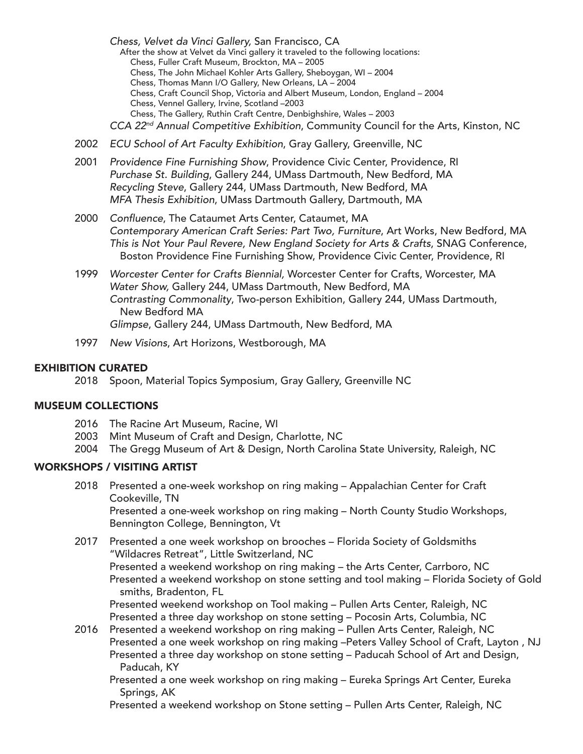*Chess, Velvet da Vinci Gallery,* San Francisco, CA<br>After the show at Velvet da Vinci gallery it traveled to the following locations: Chess, Fuller Craft Museum, Brockton, MA – 2005 Chess, The John Michael Kohler Arts Gallery, Sheboygan, WI – 2004 Chess, Thomas Mann I/O Gallery, New Orleans, LA – 2004 Chess, Craft Council Shop, Victoria and Albert Museum, London, England – 2004 Chess, Vennel Gallery, Irvine, Scotland –2003 Chess, The Gallery, Ruthin Craft Centre, Denbighshire, Wales – 2003 *CCA 22nd Annual Competitive Exhibition*, Community Council for the Arts, Kinston, NC

- 2002 *ECU School of Art Faculty Exhibition*, Gray Gallery, Greenville, NC
- 2001 *Providence Fine Furnishing Show*, Providence Civic Center, Providence, RI *Purchase St. Building*, Gallery 244, UMass Dartmouth, New Bedford, MA *Recycling Steve*, Gallery 244, UMass Dartmouth, New Bedford, MA *MFA Thesis Exhibition*, UMass Dartmouth Gallery, Dartmouth, MA
- 2000 Confluence, The Cataumet Arts Center, Cataumet, MA *Contemporary American Craft Series: Part Two, Furniture*, Art Works, New Bedford, MA *This is Not Your Paul Revere, New England Society for Arts & Crafts*, SNAG Conference, Boston Providence Fine Furnishing Show, Providence Civic Center, Providence, RI
- 1999 *Worcester Center for Crafts Biennial,* Worcester Center for Crafts, Worcester, MA *Water Show,* Gallery 244, UMass Dartmouth, New Bedford, MA *Contrasting Commonality*, Two-person Exhibition, Gallery 244, UMass Dartmouth, New Bedford MA *Glimpse*, Gallery 244, UMass Dartmouth, New Bedford, MA
- 1997 *New Visions*, Art Horizons, Westborough, MA

### EXHIBITION CURATED

2018 Spoon, Material Topics Symposium, Gray Gallery, Greenville NC

#### MUSEUM COLLECTIONS

- 2016 The Racine Art Museum, Racine, WI
- 2003 Mint Museum of Craft and Design, Charlotte, NC
- 2004 The Gregg Museum of Art & Design, North Carolina State University, Raleigh, NC

# WORKSHOPS / VISITING ARTIST

- 2018 Presented a one-week workshop on ring making Appalachian Center for Craft Cookeville, TN Presented a one-week workshop on ring making – North County Studio Workshops, Bennington College, Bennington, Vt
- 2017 Presented a one week workshop on brooches Florida Society of Goldsmiths "Wildacres Retreat", Little Switzerland, NC

Presented a weekend workshop on ring making – the Arts Center, Carrboro, NC Presented a weekend workshop on stone setting and tool making – Florida Society of Gold smiths, Bradenton, FL

Presented weekend workshop on Tool making – Pullen Arts Center, Raleigh, NC Presented a three day workshop on stone setting – Pocosin Arts, Columbia, NC

- 2016 Presented a weekend workshop on ring making Pullen Arts Center, Raleigh, NC Presented a one week workshop on ring making –Peters Valley School of Craft, Layton , NJ Presented a three day workshop on stone setting – Paducah School of Art and Design, Paducah, KY
	- Presented a one week workshop on ring making Eureka Springs Art Center, Eureka Springs, AK
	- Presented a weekend workshop on Stone setting Pullen Arts Center, Raleigh, NC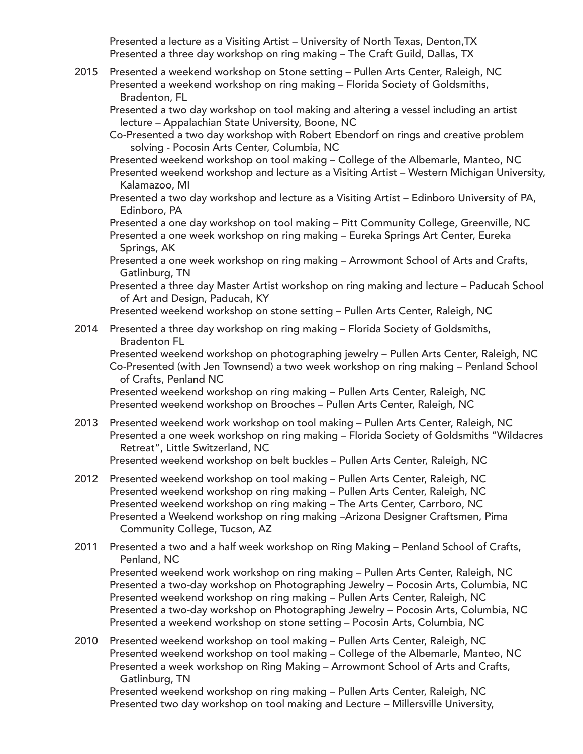Presented a lecture as a Visiting Artist – University of North Texas, Denton,TX Presented a three day workshop on ring making – The Craft Guild, Dallas, TX

2015 Presented a weekend workshop on Stone setting – Pullen Arts Center, Raleigh, NC Presented a weekend workshop on ring making – Florida Society of Goldsmiths, Bradenton, FL

Presented a two day workshop on tool making and altering a vessel including an artist lecture – Appalachian State University, Boone, NC

Co-Presented a two day workshop with Robert Ebendorf on rings and creative problem solving - Pocosin Arts Center, Columbia, NC

Presented weekend workshop on tool making – College of the Albemarle, Manteo, NC

- Presented weekend workshop and lecture as a Visiting Artist Western Michigan University, Kalamazoo, MI
- Presented a two day workshop and lecture as a Visiting Artist Edinboro University of PA, Edinboro, PA

Presented a one day workshop on tool making – Pitt Community College, Greenville, NC

- Presented a one week workshop on ring making Eureka Springs Art Center, Eureka Springs, AK
- Presented a one week workshop on ring making Arrowmont School of Arts and Crafts, Gatlinburg, TN
- Presented a three day Master Artist workshop on ring making and lecture Paducah School of Art and Design, Paducah, KY
- Presented weekend workshop on stone setting Pullen Arts Center, Raleigh, NC
- 2014 Presented a three day workshop on ring making Florida Society of Goldsmiths, Bradenton FL

Presented weekend workshop on photographing jewelry – Pullen Arts Center, Raleigh, NC Co-Presented (with Jen Townsend) a two week workshop on ring making – Penland School of Crafts, Penland NC

Presented weekend workshop on ring making – Pullen Arts Center, Raleigh, NC Presented weekend workshop on Brooches – Pullen Arts Center, Raleigh, NC

2013 Presented weekend work workshop on tool making – Pullen Arts Center, Raleigh, NC Presented a one week workshop on ring making – Florida Society of Goldsmiths "Wildacres Retreat", Little Switzerland, NC

Presented weekend workshop on belt buckles – Pullen Arts Center, Raleigh, NC

- 2012 Presented weekend workshop on tool making Pullen Arts Center, Raleigh, NC Presented weekend workshop on ring making – Pullen Arts Center, Raleigh, NC Presented weekend workshop on ring making – The Arts Center, Carrboro, NC Presented a Weekend workshop on ring making –Arizona Designer Craftsmen, Pima Community College, Tucson, AZ
- 2011 Presented a two and a half week workshop on Ring Making Penland School of Crafts, Penland, NC Presented weekend work workshop on ring making – Pullen Arts Center, Raleigh, NC Presented a two-day workshop on Photographing Jewelry – Pocosin Arts, Columbia, NC

Presented weekend workshop on ring making – Pullen Arts Center, Raleigh, NC Presented a two-day workshop on Photographing Jewelry – Pocosin Arts, Columbia, NC Presented a weekend workshop on stone setting – Pocosin Arts, Columbia, NC

2010 Presented weekend workshop on tool making – Pullen Arts Center, Raleigh, NC Presented weekend workshop on tool making – College of the Albemarle, Manteo, NC Presented a week workshop on Ring Making – Arrowmont School of Arts and Crafts, Gatlinburg, TN

Presented weekend workshop on ring making – Pullen Arts Center, Raleigh, NC Presented two day workshop on tool making and Lecture – Millersville University,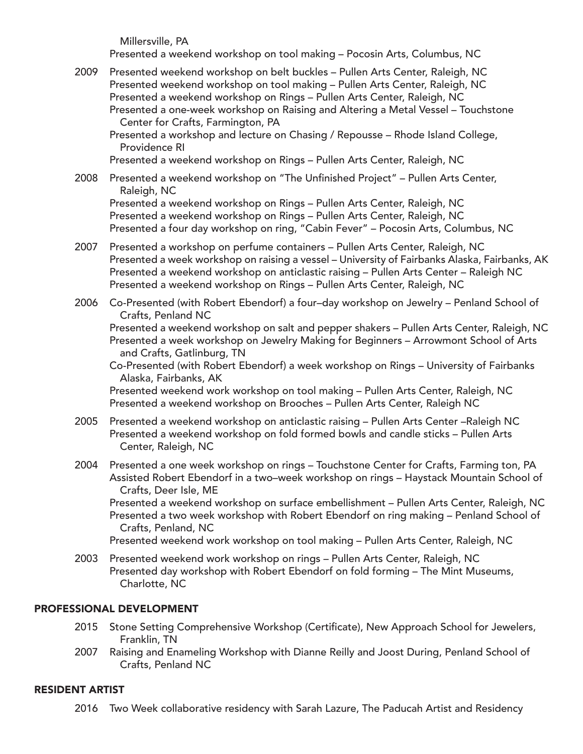Millersville, PA

Presented a weekend workshop on tool making – Pocosin Arts, Columbus, NC

2009 Presented weekend workshop on belt buckles – Pullen Arts Center, Raleigh, NC Presented weekend workshop on tool making – Pullen Arts Center, Raleigh, NC Presented a weekend workshop on Rings – Pullen Arts Center, Raleigh, NC Presented a one-week workshop on Raising and Altering a Metal Vessel – Touchstone Center for Crafts, Farmington, PA

Presented a workshop and lecture on Chasing / Repousse – Rhode Island College, Providence RI

Presented a weekend workshop on Rings – Pullen Arts Center, Raleigh, NC

 2008 Presented a weekend workshop on "The Unfinished Project" – Pullen Arts Center, Raleigh, NC

Presented a weekend workshop on Rings – Pullen Arts Center, Raleigh, NC Presented a weekend workshop on Rings – Pullen Arts Center, Raleigh, NC Presented a four day workshop on ring, "Cabin Fever" – Pocosin Arts, Columbus, NC

- 2007 Presented a workshop on perfume containers Pullen Arts Center, Raleigh, NC Presented a week workshop on raising a vessel – University of Fairbanks Alaska, Fairbanks, AK Presented a weekend workshop on anticlastic raising – Pullen Arts Center – Raleigh NC Presented a weekend workshop on Rings – Pullen Arts Center, Raleigh, NC
- 2006 Co-Presented (with Robert Ebendorf) a four–day workshop on Jewelry Penland School of Crafts, Penland NC

Presented a weekend workshop on salt and pepper shakers – Pullen Arts Center, Raleigh, NC Presented a week workshop on Jewelry Making for Beginners – Arrowmont School of Arts and Crafts, Gatlinburg, TN

Co-Presented (with Robert Ebendorf) a week workshop on Rings – University of Fairbanks Alaska, Fairbanks, AK

Presented weekend work workshop on tool making – Pullen Arts Center, Raleigh, NC Presented a weekend workshop on Brooches – Pullen Arts Center, Raleigh NC

- 2005 Presented a weekend workshop on anticlastic raising Pullen Arts Center –Raleigh NC Presented a weekend workshop on fold formed bowls and candle sticks – Pullen Arts Center, Raleigh, NC
- 2004 Presented a one week workshop on rings Touchstone Center for Crafts, Farming ton, PA Assisted Robert Ebendorf in a two–week workshop on rings – Haystack Mountain School of Crafts, Deer Isle, ME

Presented a weekend workshop on surface embellishment – Pullen Arts Center, Raleigh, NC Presented a two week workshop with Robert Ebendorf on ring making – Penland School of Crafts, Penland, NC

Presented weekend work workshop on tool making – Pullen Arts Center, Raleigh, NC

2003 Presented weekend work workshop on rings – Pullen Arts Center, Raleigh, NC Presented day workshop with Robert Ebendorf on fold forming – The Mint Museums, Charlotte, NC

# PROFESSIONAL DEVELOPMENT

- 2015 Stone Setting Comprehensive Workshop (Certificate), New Approach School for Jewelers, Franklin, TN
- 2007 Raising and Enameling Workshop with Dianne Reilly and Joost During, Penland School of Crafts, Penland NC

#### RESIDENT ARTIST

2016 Two Week collaborative residency with Sarah Lazure, The Paducah Artist and Residency